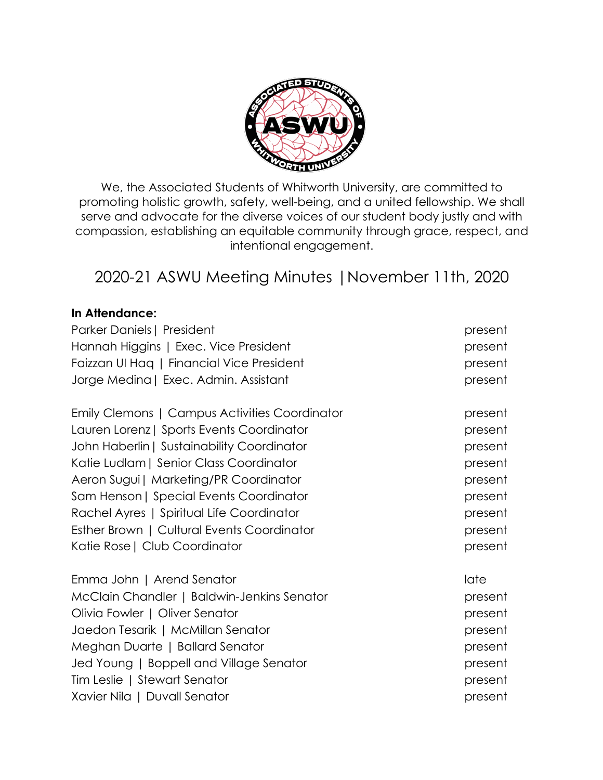

We, the Associated Students of Whitworth University, are committed to promoting holistic growth, safety, well-being, and a united fellowship. We shall serve and advocate for the diverse voices of our student body justly and with compassion, establishing an equitable community through grace, respect, and intentional engagement.

# 2020-21 ASWU Meeting Minutes |November 11th, 2020

# **In Attendance:**

| Parker Daniels   President                    | present |
|-----------------------------------------------|---------|
| Hannah Higgins   Exec. Vice President         | present |
| Faizzan UI Hag   Financial Vice President     | present |
| Jorge Medina   Exec. Admin. Assistant         | present |
| Emily Clemons   Campus Activities Coordinator | present |
| Lauren Lorenz   Sports Events Coordinator     | present |
| John Haberlin   Sustainability Coordinator    | present |
| Katie Ludlam   Senior Class Coordinator       | present |
| Aeron Sugui   Marketing/PR Coordinator        | present |
| Sam Henson   Special Events Coordinator       | present |
| Rachel Ayres   Spiritual Life Coordinator     | present |
| Esther Brown   Cultural Events Coordinator    | present |
| Katie Rose   Club Coordinator                 | present |
| Emma John   Arend Senator                     | late    |
| McClain Chandler   Baldwin-Jenkins Senator    | present |
| Olivia Fowler   Oliver Senator                | present |
| Jaedon Tesarik   McMillan Senator             | present |
| Meghan Duarte   Ballard Senator               | present |
| Jed Young   Boppell and Village Senator       | present |
| Tim Leslie   Stewart Senator                  | present |
| Xavier Nila   Duvall Senator                  | present |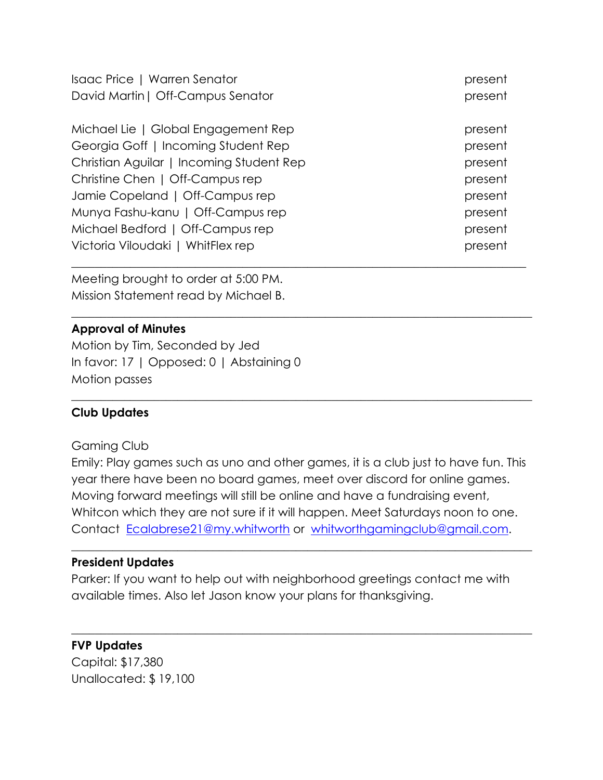| Isaac Price   Warren Senator             | present |
|------------------------------------------|---------|
| David Martin   Off-Campus Senator        | present |
| Michael Lie   Global Engagement Rep      | present |
| Georgia Goff   Incoming Student Rep      | present |
| Christian Aguilar   Incoming Student Rep | present |
| Christine Chen   Off-Campus rep          | present |
| Jamie Copeland   Off-Campus rep          | present |
| Munya Fashu-kanu   Off-Campus rep        | present |
| Michael Bedford   Off-Campus rep         | present |
| Victoria Viloudaki   WhitFlex rep        | present |
|                                          |         |

Meeting brought to order at 5:00 PM. Mission Statement read by Michael B.

# **Approval of Minutes**

Motion by Tim, Seconded by Jed In favor: 17 | Opposed: 0 | Abstaining 0 Motion passes

# **Club Updates**

#### Gaming Club

Emily: Play games such as uno and other games, it is a club just to have fun. This year there have been no board games, meet over discord for online games. Moving forward meetings will still be online and have a fundraising event, Whitcon which they are not sure if it will happen. Meet Saturdays noon to one. Contact Ecalabrese21@my.whitworth or whitworthgamingclub@gmail.com.

 $\_$  , and the set of the set of the set of the set of the set of the set of the set of the set of the set of the set of the set of the set of the set of the set of the set of the set of the set of the set of the set of th

 $\_$  , and the set of the set of the set of the set of the set of the set of the set of the set of the set of the set of the set of the set of the set of the set of the set of the set of the set of the set of the set of th

\_\_\_\_\_\_\_\_\_\_\_\_\_\_\_\_\_\_\_\_\_\_\_\_\_\_\_\_\_\_\_\_\_\_\_\_\_\_\_\_\_\_\_\_\_\_\_\_\_\_\_\_\_\_\_\_\_\_\_\_\_\_\_\_\_\_\_\_\_\_\_\_\_\_\_\_\_\_

 $\_$  , and the set of the set of the set of the set of the set of the set of the set of the set of the set of the set of the set of the set of the set of the set of the set of the set of the set of the set of the set of th

# **President Updates**

Parker: If you want to help out with neighborhood greetings contact me with available times. Also let Jason know your plans for thanksgiving.

# **FVP Updates**

Capital: \$17,380 Unallocated: \$ 19,100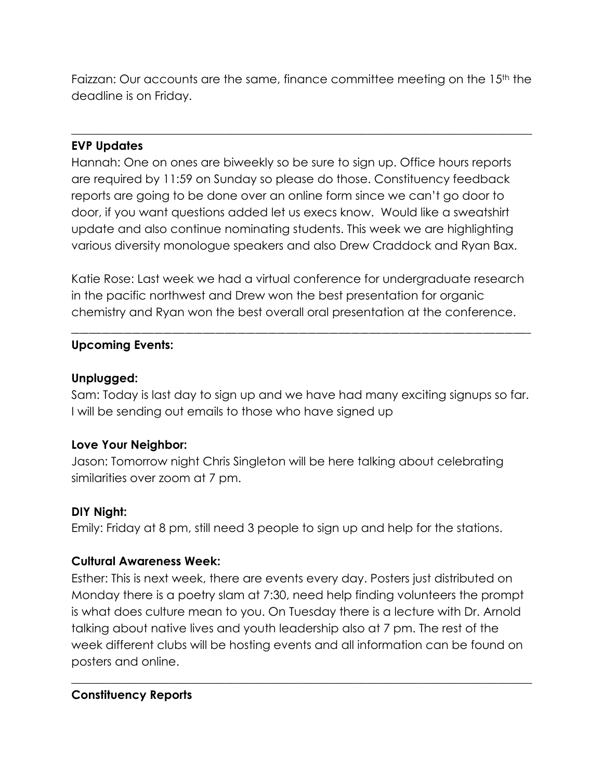Faizzan: Our accounts are the same, finance committee meeting on the 15<sup>th</sup> the deadline is on Friday.

 $\_$  , and the set of the set of the set of the set of the set of the set of the set of the set of the set of the set of the set of the set of the set of the set of the set of the set of the set of the set of the set of th

# **EVP Updates**

Hannah: One on ones are biweekly so be sure to sign up. Office hours reports are required by 11:59 on Sunday so please do those. Constituency feedback reports are going to be done over an online form since we can't go door to door, if you want questions added let us execs know. Would like a sweatshirt update and also continue nominating students. This week we are highlighting various diversity monologue speakers and also Drew Craddock and Ryan Bax.

Katie Rose: Last week we had a virtual conference for undergraduate research in the pacific northwest and Drew won the best presentation for organic chemistry and Ryan won the best overall oral presentation at the conference.

\_\_\_\_\_\_\_\_\_\_\_\_\_\_\_\_\_\_\_\_\_\_\_\_\_\_\_\_\_\_\_\_\_\_\_\_\_\_\_\_\_\_\_\_\_\_\_\_\_\_\_\_\_\_\_\_\_\_\_\_\_\_\_\_\_\_\_\_\_\_\_\_\_\_\_\_\_\_\_\_\_\_\_\_\_\_\_\_\_\_\_\_\_\_\_\_\_\_\_\_\_\_\_\_\_

# **Upcoming Events:**

# **Unplugged:**

Sam: Today is last day to sign up and we have had many exciting signups so far. I will be sending out emails to those who have signed up

# **Love Your Neighbor:**

Jason: Tomorrow night Chris Singleton will be here talking about celebrating similarities over zoom at 7 pm.

# **DIY Night:**

Emily: Friday at 8 pm, still need 3 people to sign up and help for the stations.

# **Cultural Awareness Week:**

Esther: This is next week, there are events every day. Posters just distributed on Monday there is a poetry slam at 7:30, need help finding volunteers the prompt is what does culture mean to you. On Tuesday there is a lecture with Dr. Arnold talking about native lives and youth leadership also at 7 pm. The rest of the week different clubs will be hosting events and all information can be found on posters and online.

 $\_$  , and the set of the set of the set of the set of the set of the set of the set of the set of the set of the set of the set of the set of the set of the set of the set of the set of the set of the set of the set of th

# **Constituency Reports**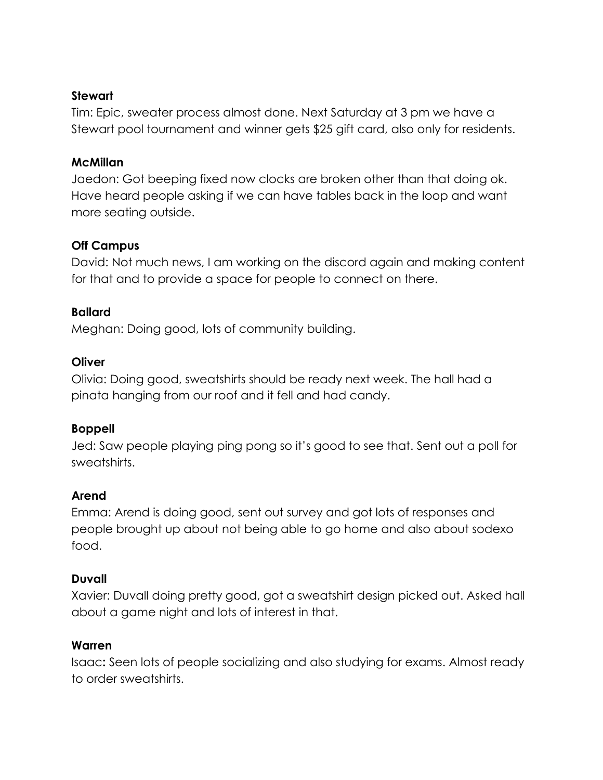# **Stewart**

Tim: Epic, sweater process almost done. Next Saturday at 3 pm we have a Stewart pool tournament and winner gets \$25 gift card, also only for residents.

# **McMillan**

Jaedon: Got beeping fixed now clocks are broken other than that doing ok. Have heard people asking if we can have tables back in the loop and want more seating outside.

# **Off Campus**

David: Not much news, I am working on the discord again and making content for that and to provide a space for people to connect on there.

# **Ballard**

Meghan: Doing good, lots of community building.

# **Oliver**

Olivia: Doing good, sweatshirts should be ready next week. The hall had a pinata hanging from our roof and it fell and had candy.

# **Boppell**

Jed: Saw people playing ping pong so it's good to see that. Sent out a poll for sweatshirts.

# **Arend**

Emma: Arend is doing good, sent out survey and got lots of responses and people brought up about not being able to go home and also about sodexo food.

# **Duvall**

Xavier: Duvall doing pretty good, got a sweatshirt design picked out. Asked hall about a game night and lots of interest in that.

# **Warren**

Isaac**:** Seen lots of people socializing and also studying for exams. Almost ready to order sweatshirts.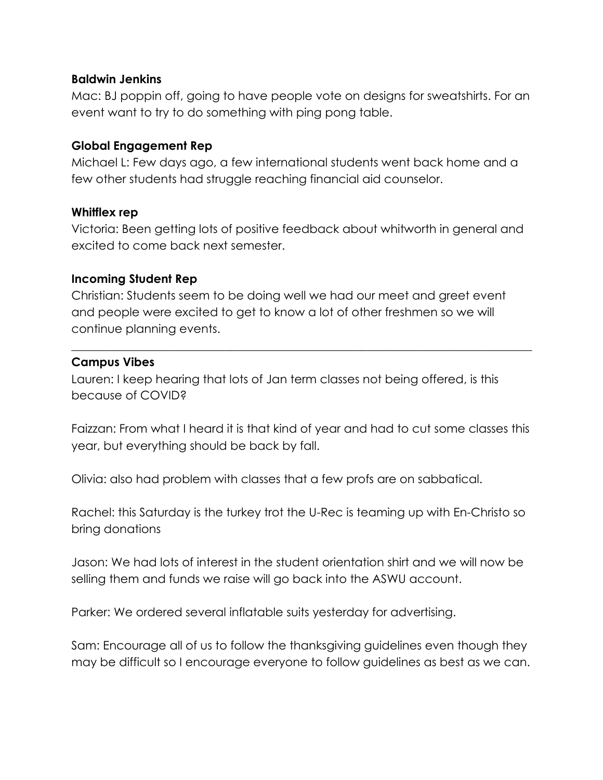#### **Baldwin Jenkins**

Mac: BJ poppin off, going to have people vote on designs for sweatshirts. For an event want to try to do something with ping pong table.

#### **Global Engagement Rep**

Michael L: Few days ago, a few international students went back home and a few other students had struggle reaching financial aid counselor.

#### **Whitflex rep**

Victoria: Been getting lots of positive feedback about whitworth in general and excited to come back next semester.

#### **Incoming Student Rep**

Christian: Students seem to be doing well we had our meet and greet event and people were excited to get to know a lot of other freshmen so we will continue planning events.

#### **Campus Vibes**

Lauren: I keep hearing that lots of Jan term classes not being offered, is this because of COVID?

Faizzan: From what I heard it is that kind of year and had to cut some classes this year, but everything should be back by fall.

 $\_$  , and the set of the set of the set of the set of the set of the set of the set of the set of the set of the set of the set of the set of the set of the set of the set of the set of the set of the set of the set of th

Olivia: also had problem with classes that a few profs are on sabbatical.

Rachel: this Saturday is the turkey trot the U-Rec is teaming up with En-Christo so bring donations

Jason: We had lots of interest in the student orientation shirt and we will now be selling them and funds we raise will go back into the ASWU account.

Parker: We ordered several inflatable suits yesterday for advertising.

Sam: Encourage all of us to follow the thanksgiving guidelines even though they may be difficult so I encourage everyone to follow guidelines as best as we can.